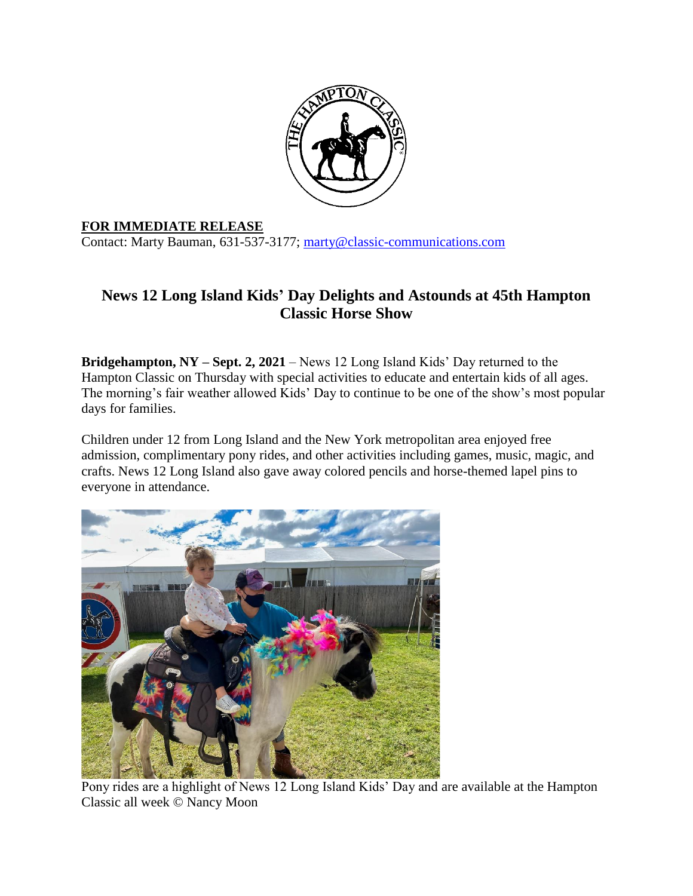

## **FOR IMMEDIATE RELEASE**

Contact: Marty Bauman, 631-537-3177; [marty@classic-communications.com](about:blank)

## **News 12 Long Island Kids' Day Delights and Astounds at 45th Hampton Classic Horse Show**

**Bridgehampton, NY – Sept. 2, 2021** – News 12 Long Island Kids' Day returned to the Hampton Classic on Thursday with special activities to educate and entertain kids of all ages. The morning's fair weather allowed Kids' Day to continue to be one of the show's most popular days for families.

Children under 12 from Long Island and the New York metropolitan area enjoyed free admission, complimentary pony rides, and other activities including games, music, magic, and crafts. News 12 Long Island also gave away colored pencils and horse-themed lapel pins to everyone in attendance.



Pony rides are a highlight of News 12 Long Island Kids' Day and are available at the Hampton Classic all week © Nancy Moon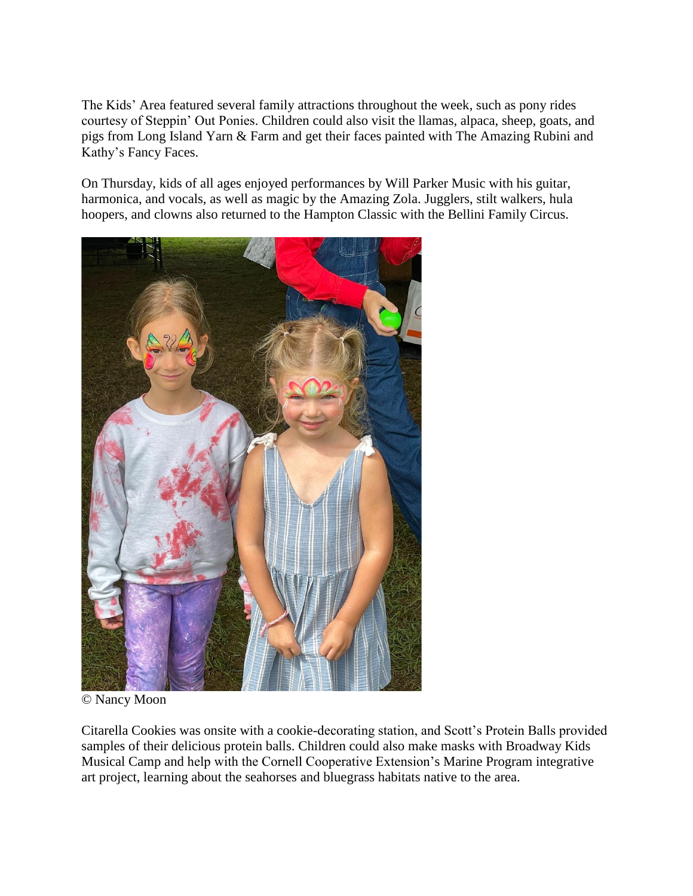The Kids' Area featured several family attractions throughout the week, such as pony rides courtesy of Steppin' Out Ponies. Children could also visit the llamas, alpaca, sheep, goats, and pigs from Long Island Yarn & Farm and get their faces painted with The Amazing Rubini and Kathy's Fancy Faces.

On Thursday, kids of all ages enjoyed performances by Will Parker Music with his guitar, harmonica, and vocals, as well as magic by the Amazing Zola. Jugglers, stilt walkers, hula hoopers, and clowns also returned to the Hampton Classic with the Bellini Family Circus.



© Nancy Moon

Citarella Cookies was onsite with a cookie-decorating station, and Scott's Protein Balls provided samples of their delicious protein balls. Children could also make masks with Broadway Kids Musical Camp and help with the Cornell Cooperative Extension's Marine Program integrative art project, learning about the seahorses and bluegrass habitats native to the area.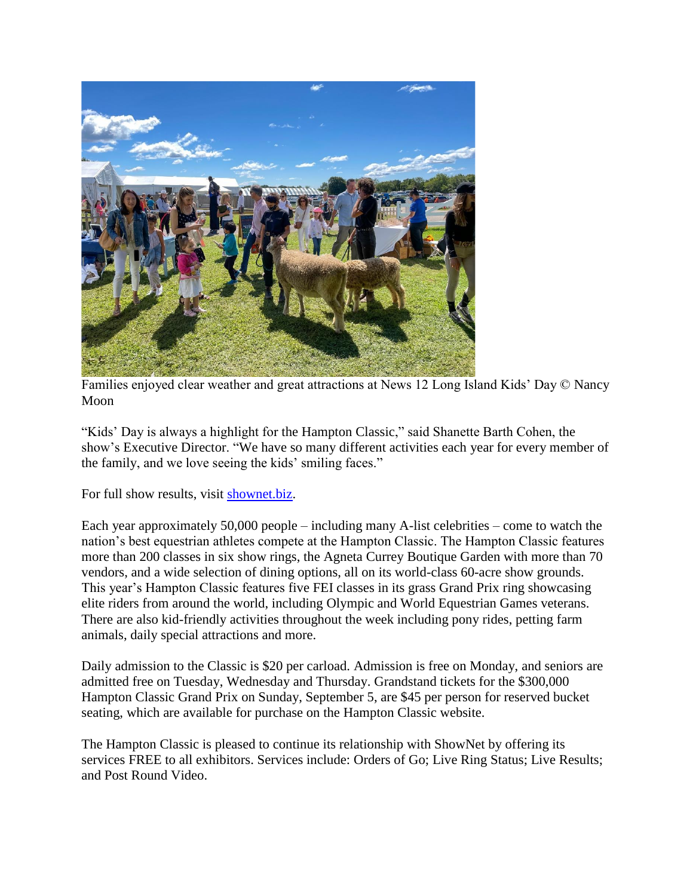

Families enjoyed clear weather and great attractions at News 12 Long Island Kids' Day © Nancy Moon

"Kids' Day is always a highlight for the Hampton Classic," said Shanette Barth Cohen, the show's Executive Director. "We have so many different activities each year for every member of the family, and we love seeing the kids' smiling faces."

For full show results, visit [shownet.biz.](about:blank)

Each year approximately 50,000 people – including many A-list celebrities – come to watch the nation's best equestrian athletes compete at the Hampton Classic. The Hampton Classic features more than 200 classes in six show rings, the Agneta Currey Boutique Garden with more than 70 vendors, and a wide selection of dining options, all on its world-class 60-acre show grounds. This year's Hampton Classic features five FEI classes in its grass Grand Prix ring showcasing elite riders from around the world, including Olympic and World Equestrian Games veterans. There are also kid-friendly activities throughout the week including pony rides, petting farm animals, daily special attractions and more.

Daily admission to the Classic is \$20 per carload. Admission is free on Monday, and seniors are admitted free on Tuesday, Wednesday and Thursday. Grandstand tickets for the \$300,000 Hampton Classic Grand Prix on Sunday, September 5, are \$45 per person for reserved bucket seating, which are available for purchase on the Hampton Classic website.

The Hampton Classic is pleased to continue its relationship with ShowNet by offering its services FREE to all exhibitors. Services include: Orders of Go; Live Ring Status; Live Results; and Post Round Video.